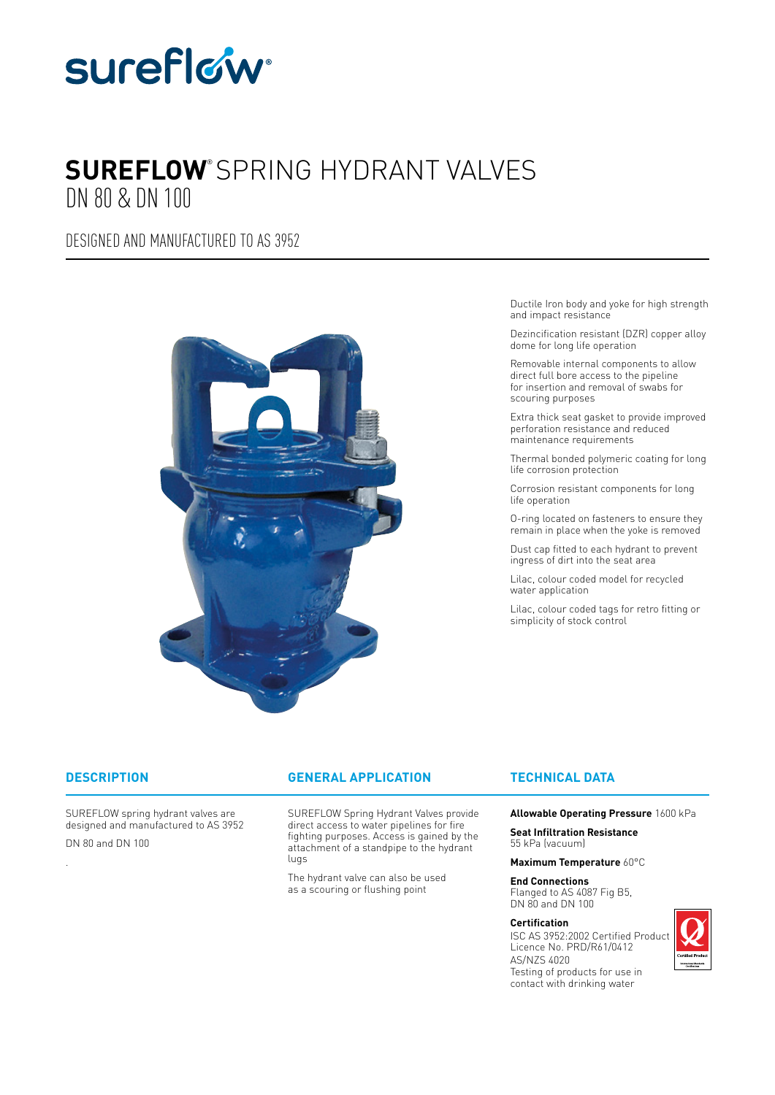

# **SUREFLOW**® SPRING HYDRANT VALVES DN 80 & DN 100

## DESIGNED AND MANUFACTURED TO AS 3952



Ductile Iron body and yoke for high strength and impact resistance

Dezincification resistant (DZR) copper alloy dome for long life operation

Removable internal components to allow direct full bore access to the pipeline for insertion and removal of swabs for scouring purposes

Extra thick seat gasket to provide improved perforation resistance and reduced maintenance requirements

Thermal bonded polymeric coating for long life corrosion protection

Corrosion resistant components for long life operation

O-ring located on fasteners to ensure they remain in place when the yoke is removed

Dust cap fitted to each hydrant to prevent ingress of dirt into the seat area

Lilac, colour coded model for recycled water application

Lilac, colour coded tags for retro fitting or simplicity of stock control

## **DESCRIPTION**

.

SUREFLOW spring hydrant valves are designed and manufactured to AS 3952 DN 80 and DN 100

## **GENERAL APPLICATION**

SUREFLOW Spring Hydrant Valves provide direct access to water pipelines for fire fighting purposes. Access is gained by the attachment of a standpipe to the hydrant lugs

The hydrant valve can also be used as a scouring or flushing point

## **TECHNICAL DATA**

**Allowable Operating Pressure** 1600 kPa

**Seat Infiltration Resistance** 55 kPa (vacuum)

**Maximum Temperature** 60°C

**End Connections** Flanged to AS 4087 Fig B5, DN 80 and DN 100

#### **Certification**

ISC AS 3952:2002 Certified Product Licence No. PRD/R61/0412 AS/NZS 4020 Testing of products for use in contact with drinking water